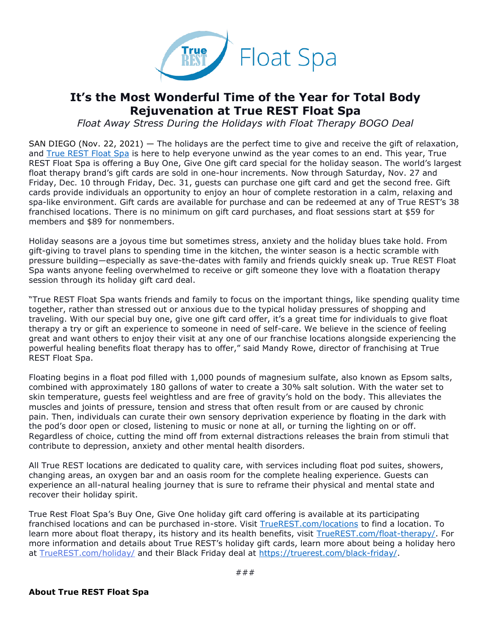

## **It's the Most Wonderful Time of the Year for Total Body Rejuvenation at True REST Float Spa**

*Float Away Stress During the Holidays with Float Therapy BOGO Deal*

SAN DIEGO (Nov. 22, 2021) — The holidays are the perfect time to give and receive the gift of relaxation, and [True REST Float Spa](https://truerest.com/float-therapy/?utm_source=PR&utm_medium=True+REST+PR&utm_campaign=True+REST+Holiday+Campaign&utm_content=It%E2%80%99s+the+Most+Wonderful+Time+of+the+Year+for+Total+Body+Rejuvenation+at+True+REST+Float+Spa) is here to help everyone unwind as the year comes to an end. This year, True REST Float Spa is offering a Buy One, Give One gift card special for the holiday season. The world's largest float therapy brand's gift cards are sold in one-hour increments. Now through Saturday, Nov. 27 and Friday, Dec. 10 through Friday, Dec. 31, guests can purchase one gift card and get the second free. Gift cards provide individuals an opportunity to enjoy an hour of complete restoration in a calm, relaxing and spa-like environment. Gift cards are available for purchase and can be redeemed at any of True REST's 38 franchised locations. There is no minimum on gift card purchases, and float sessions start at \$59 for members and \$89 for nonmembers.

Holiday seasons are a joyous time but sometimes stress, anxiety and the holiday blues take hold. From gift-giving to travel plans to spending time in the kitchen, the winter season is a hectic scramble with pressure building—especially as save-the-dates with family and friends quickly sneak up. True REST Float Spa wants anyone feeling overwhelmed to receive or gift someone they love with a floatation therapy session through its holiday gift card deal.

"True REST Float Spa wants friends and family to focus on the important things, like spending quality time together, rather than stressed out or anxious due to the typical holiday pressures of shopping and traveling. With our special buy one, give one gift card offer, it's a great time for individuals to give float therapy a try or gift an experience to someone in need of self-care. We believe in the science of feeling great and want others to enjoy their visit at any one of our franchise locations alongside experiencing the powerful healing benefits float therapy has to offer," said Mandy Rowe, director of franchising at True REST Float Spa.

Floating begins in a float pod filled with 1,000 pounds of magnesium sulfate, also known as Epsom salts, combined with approximately 180 gallons of water to create a 30% salt solution. With the water set to skin temperature, guests feel weightless and are free of gravity's hold on the body. This alleviates the muscles and joints of pressure, tension and stress that often result from or are caused by chronic pain. Then, individuals can curate their own sensory deprivation experience by floating in the dark with the pod's door open or closed, listening to music or none at all, or turning the lighting on or off. Regardless of choice, cutting the mind off from external distractions releases the brain from stimuli that contribute to depression, anxiety and other mental health disorders.

All True REST locations are dedicated to quality care, with services including float pod suites, showers, changing areas, an oxygen bar and an oasis room for the complete healing experience. Guests can experience an all-natural healing journey that is sure to reframe their physical and mental state and recover their holiday spirit.

True Rest Float Spa's Buy One, Give One holiday gift card offering is available at its participating franchised locations and can be purchased in-store. Visit [TrueREST.com/locations](https://truerest.com/locations/?utm_source=PR&utm_medium=True+REST+PR&utm_campaign=True+REST+Holiday+Campaign&utm_content=It%E2%80%99s+the+Most+Wonderful+Time+of+the+Year+for+Total+Body+Rejuvenation+at+True+REST+Float+Spa) to find a location. To learn more about float therapy, its history and its health benefits, visit [TrueREST.com/float-therapy/.](https://truerest.com/float-therapy/?utm_source=PR&utm_medium=True+REST+PR&utm_campaign=True+REST+Holiday+Campaign&utm_content=It%E2%80%99s+the+Most+Wonderful+Time+of+the+Year+for+Total+Body+Rejuvenation+at+True+REST+Float+Spa) For more information and details about True REST's holiday gift cards, learn more about being a holiday hero at [TrueREST.com/holiday/](https://truerest.com/holiday/?utm_source=PR&utm_medium=True+REST+PR&utm_campaign=True+REST+Holiday+Campaign&utm_content=It%E2%80%99s+the+Most+Wonderful+Time+of+the+Year+for+Total+Body+Rejuvenation+at+True+REST+Float+Spa) and their Black Friday deal at [https://truerest.com/black-friday/.](https://truerest.com/black-friday/?utm_source=PR&utm_medium=True+REST+PR&utm_campaign=True+REST+Holiday+Campaign&utm_content=It%E2%80%99s+the+Most+Wonderful+Time+of+the+Year+for+Total+Body+Rejuvenation+at+True+REST+Float+Spa)